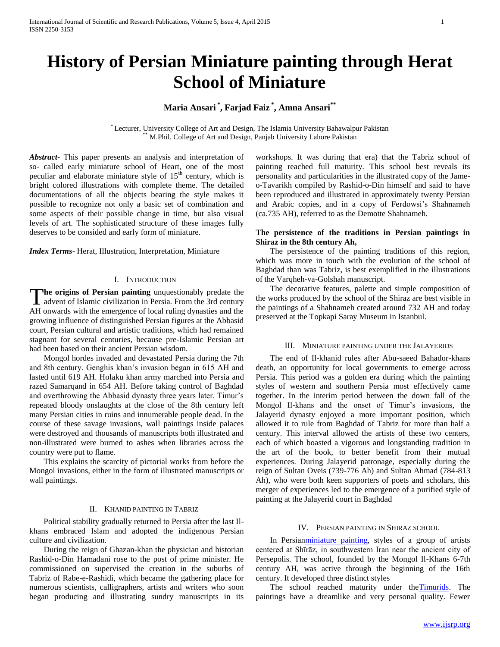# **History of Persian Miniature painting through Herat School of Miniature**

# **Maria Ansari \* , Farjad Faiz \* , Amna Ansari\*\***

\* Lecturer, University College of Art and Design, The Islamia University Bahawalpur Pakistan M.Phil. College of Art and Design, Panjab University Lahore Pakistan

*Abstract***-** This paper presents an analysis and interpretation of so- called early miniature school of Heart, one of the most peculiar and elaborate miniature style of  $15<sup>th</sup>$  century, which is bright colored illustrations with complete theme. The detailed documentations of all the objects bearing the style makes it possible to recognize not only a basic set of combination and some aspects of their possible change in time, but also visual levels of art. The sophisticated structure of these images fully deserves to be consided and early form of miniature.

*Index Terms*- Herat, Illustration, Interpretation, Miniature

#### I. INTRODUCTION

**he origins of Persian painting** unquestionably predate the The origins of Persian painting unquestionably predate the advent of Islamic civilization in Persia. From the 3rd century AH onwards with the emergence of local ruling dynasties and the growing influence of distinguished Persian figures at the Abbasid court, Persian cultural and artistic traditions, which had remained stagnant for several centuries, because pre-Islamic Persian art had been based on their ancient Persian wisdom.

 Mongol hordes invaded and devastated Persia during the 7th and 8th century. Genghis khan's invasion began in 615 AH and lasted until 619 AH. Holaku khan army marched into Persia and razed Samarqand in 654 AH. Before taking control of Baghdad and overthrowing the Abbasid dynasty three years later. Timur's repeated bloody onslaughts at the close of the 8th century left many Persian cities in ruins and innumerable people dead. In the course of these savage invasions, wall paintings inside palaces were destroyed and thousands of manuscripts both illustrated and non-illustrated were burned to ashes when libraries across the country were put to flame.

 This explains the scarcity of pictorial works from before the Mongol invasions, either in the form of illustrated manuscripts or wall paintings.

#### II. KHANID PAINTING IN TABRIZ

 Political stability gradually returned to Persia after the last Ilkhans embraced Islam and adopted the indigenous Persian culture and civilization.

 During the reign of Ghazan-khan the physician and historian Rashid-o-Din Hamadani rose to the post of prime minister. He commissioned on supervised the creation in the suburbs of Tabriz of Rabe-e-Rashidi, which became the gathering place for numerous scientists, calligraphers, artists and writers who soon began producing and illustrating sundry manuscripts in its

workshops. It was during that era) that the Tabriz school of painting reached full maturity. This school best reveals its personality and particularities in the illustrated copy of the Jameo-Tavarikh compiled by Rashid-o-Din himself and said to have been reproduced and illustrated in approximately twenty Persian and Arabic copies, and in a copy of Ferdowsi's Shahnameh (ca.735 AH), referred to as the Demotte Shahnameh.

### **The persistence of the traditions in Persian paintings in Shiraz in the 8th century Ah,**

 The persistence of the painting traditions of this region, which was more in touch with the evolution of the school of Baghdad than was Tabriz, is best exemplified in the illustrations of the Varqheh-va-Golshah manuscript.

 The decorative features, palette and simple composition of the works produced by the school of the Shiraz are best visible in the paintings of a Shahnameh created around 732 AH and today preserved at the Topkapi Saray Museum in Istanbul.

#### III. MINIATURE PAINTING UNDER THE JALAYERIDS

 The end of Il-khanid rules after Abu-saeed Bahador-khans death, an opportunity for local governments to emerge across Persia. This period was a golden era during which the painting styles of western and southern Persia most effectively came together. In the interim period between the down fall of the Mongol Il-khans and the onset of Timur's invasions, the Jalayerid dynasty enjoyed a more important position, which allowed it to rule from Baghdad of Tabriz for more than half a century. This interval allowed the artists of these two centers, each of which boasted a vigorous and longstanding tradition in the art of the book, to better benefit from their mutual experiences. During Jalayerid patronage, especially during the reign of Sultan Oveis (739-776 Ah) and Sultan Ahmad (784-813 Ah), who were both keen supporters of poets and scholars, this merger of experiences led to the emergence of a purified style of painting at the Jalayerid court in Baghdad

#### IV. PERSIAN PAINTING IN SHIRAZ SCHOOL

 In Persia[nminiature painting,](http://www.britannica.com/EBchecked/topic/383990/miniature-painting) styles of a group of artists centered at Shīrāz, in southwestern Iran near the ancient city of Persepolis. The school, founded by the Mongol Il-Khans 6-7th century AH, was active through the beginning of the 16th century. It developed three distinct styles

The school reached maturity under the Timurids. The paintings have a dreamlike and very personal quality. Fewer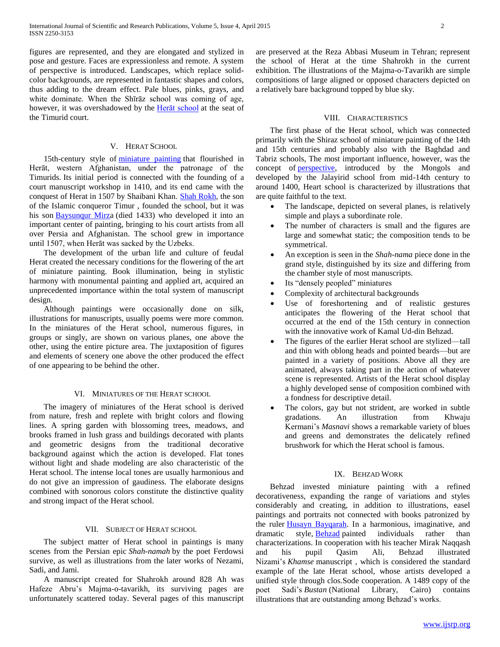figures are represented, and they are elongated and stylized in pose and gesture. Faces are expressionless and remote. A system of perspective is introduced. Landscapes, which replace solidcolor backgrounds, are represented in fantastic shapes and colors, thus adding to the dream effect. Pale blues, pinks, grays, and white dominate. When the Shīrāz school was coming of age, however, it was overshadowed by the [Herāt school](http://www.britannica.com/EBchecked/topic/262597/Herat-school) at the seat of the Timurid court.

# V. HERAT SCHOOL

 15th-century style of [miniature painting](http://www.britannica.com/EBchecked/topic/383990/miniature-painting) that flourished in Herāt, western Afghanistan, under the patronage of the Timurids. Its initial period is connected with the founding of a court manuscript workshop in 1410, and its end came with the conquest of Herat in 1507 by Shaibani Khan. [Shah Rokh,](http://www.britannica.com/EBchecked/topic/537721/Shah-Rokh) the son of the Islamic conqueror Timur , founded the school, but it was his son [Baysunqur Mirza](http://www.britannica.com/EBchecked/topic/56958/Baysunqur-Mirza) (died 1433) who developed it into an important center of painting, bringing to his court artists from all over Persia and Afghanistan. The school grew in importance until 1507, when Herāt was sacked by the Uzbeks.

 The development of the urban life and culture of feudal Herat created the necessary conditions for the flowering of the art of miniature painting. Book illumination, being in stylistic harmony with monumental painting and applied art, acquired an unprecedented importance within the total system of manuscript design.

 Although paintings were occasionally done on silk, illustrations for manuscripts, usually poems were more common. In the miniatures of the Herat school, numerous figures, in groups or singly, are shown on various planes, one above the other, using the entire picture area. The juxtaposition of figures and elements of scenery one above the other produced the effect of one appearing to be behind the other.

#### VI. MINIATURES OF THE HERAT SCHOOL

 The imagery of miniatures of the Herat school is derived from nature, fresh and replete with bright colors and flowing lines. A spring garden with blossoming trees, meadows, and brooks framed in lush grass and buildings decorated with plants and geometric designs from the traditional decorative background against which the action is developed. Flat tones without light and shade modeling are also characteristic of the Herat school. The intense local tones are usually harmonious and do not give an impression of gaudiness. The elaborate designs combined with sonorous colors constitute the distinctive quality and strong impact of the Herat school.

#### VII. SUBJECT OF HERAT SCHOOL

 The subject matter of Herat school in paintings is many scenes from the Persian epic *Shah-namah* by the poet Ferdowsi survive, as well as illustrations from the later works of Nezami, Sadi, and Jami.

 A manuscript created for Shahrokh around 828 Ah was Hafeze Abru's Majma-o-tavarikh, its surviving pages are unfortunately scattered today. Several pages of this manuscript are preserved at the Reza Abbasi Museum in Tehran; represent the school of Herat at the time Shahrokh in the current exhibition. The illustrations of the Majma-o-Tavarikh are simple compositions of large aligned or opposed characters depicted on a relatively bare background topped by blue sky.

#### VIII. CHARACTERISTICS

 The first phase of the Herat school, which was connected primarily with the Shiraz school of miniature painting of the 14th and 15th centuries and probably also with the Baghdad and Tabriz schools, The most important influence, however, was the concept of **perspective**, introduced by the Mongols and developed by the Jalayirid school from mid-14th century to around 1400, Heart school is characterized by illustrations that are quite faithful to the text.

- The landscape, depicted on several planes, is relatively simple and plays a subordinate role.
- The number of characters is small and the figures are large and somewhat static; the composition tends to be symmetrical.
- An exception is seen in the *Shah-nama* piece done in the grand style, distinguished by its size and differing from the chamber style of most manuscripts.
- Its "densely peopled" miniatures
- Complexity of architectural backgrounds
- Use of foreshortening and of realistic gestures anticipates the flowering of the Herat school that occurred at the end of the 15th century in connection with the innovative work of Kamal Ud-din Behzad.
- The figures of the earlier Herat school are stylized—tall and thin with oblong heads and pointed beards—but are painted in a variety of positions. Above all they are animated, always taking part in the action of whatever scene is represented. Artists of the Herat school display a highly developed sense of composition combined with a fondness for descriptive detail.
- The colors, gay but not strident, are worked in subtle gradations. An illustration from Khwaju Kermani's *Masnavi* shows a remarkable variety of blues and greens and demonstrates the delicately refined brushwork for which the Herat school is famous.

# IX. BEHZAD WORK

 Behzad invested miniature painting with a refined decorativeness, expanding the range of variations and styles considerably and creating, in addition to illustrations, easel paintings and portraits not connected with books patronized by the ruler [Ḥusayn Bayqarah.](http://www.britannica.com/EBchecked/topic/277434/Husayn-Bayqara) In a harmonious, imaginative, and dramatic style, **[Behzad](http://www.britannica.com/EBchecked/topic/58790/Behzad)** painted individuals rather than characterizations. In cooperation with his teacher Mirak Naqqash and his pupil Qasim Ali, Behzad illustrated Nizami's *Khamse* manuscript , which is considered the standard example of the late Herat school, whose artists developed a unified style through clos.Sode cooperation. A 1489 copy of the poet Sadi's *Bustan* (National Library, Cairo) contains illustrations that are outstanding among Behzad's works.